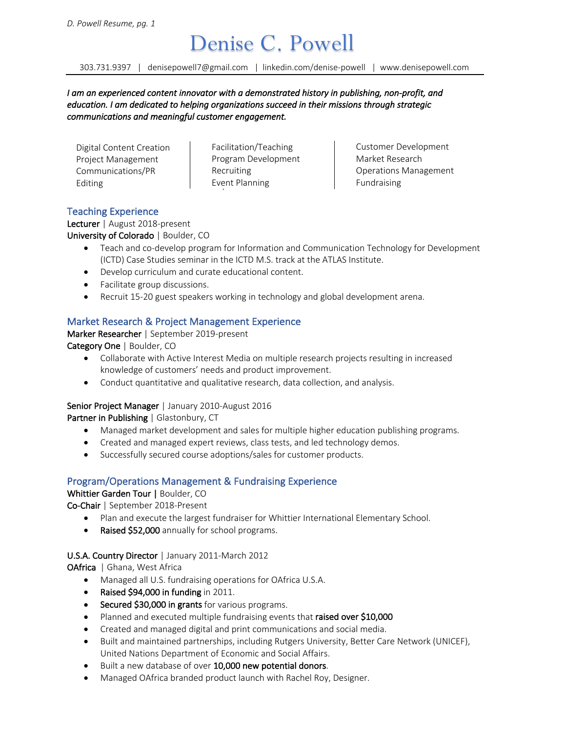# $\sum$ enise C.  $\sum$ owell  $\sum$ <br>303.731.9397 | denisepowell7@gmail.com | linkedin.com/denise-powell | www.denisepowell.com

*I am an experienced content innovator with a demonstrated history in publishing, non-profit, and education. I am dedicated to helping organizations succeed in their missions through strategic communications and meaningful customer engagement.* 

Digital Content Creation Project Management Communications/PR Editing

Facilitation/Teaching Program Development Recruiting Event Planning

Customer Development Market Research Operations Management Fundraising

# Teaching Experience

Lecturer | August 2018-present University of Colorado | Boulder, CO

- Teach and co-develop program for Information and Communication Technology for Development (ICTD) Case Studies seminar in the ICTD M.S. track at the ATLAS Institute.
- Develop curriculum and curate educational content.
- Facilitate group discussions.
- Recruit 15-20 guest speakers working in technology and global development arena.

# Market Research & Project Management Experience

Marker Researcher | September 2019-present Category One | Boulder, CO

- Collaborate with Active Interest Media on multiple research projects resulting in increased knowledge of customers' needs and product improvement.
- Conduct quantitative and qualitative research, data collection, and analysis.

#### Senior Project Manager | January 2010-August 2016

Partner in Publishing | Glastonbury, CT

- Managed market development and sales for multiple higher education publishing programs.
- Created and managed expert reviews, class tests, and led technology demos.
- Successfully secured course adoptions/sales for customer products.

# Program/Operations Management & Fundraising Experience

# Whittier Garden Tour | Boulder, CO

Co-Chair | September 2018-Present

- Plan and execute the largest fundraiser for Whittier International Elementary School.
- Raised \$52,000 annually for school programs.

# U.S.A. Country Director | January 2011-March 2012

OAfrica | Ghana, West Africa

- Managed all U.S. fundraising operations for OAfrica U.S.A.
- Raised \$94,000 in funding in 2011.
- Secured \$30,000 in grants for various programs.
- Planned and executed multiple fundraising events that raised over \$10,000
- Created and managed digital and print communications and social media.
- Built and maintained partnerships, including Rutgers University, Better Care Network (UNICEF), United Nations Department of Economic and Social Affairs.
- Built a new database of over 10,000 new potential donors.
- Managed OAfrica branded product launch with Rachel Roy, Designer.